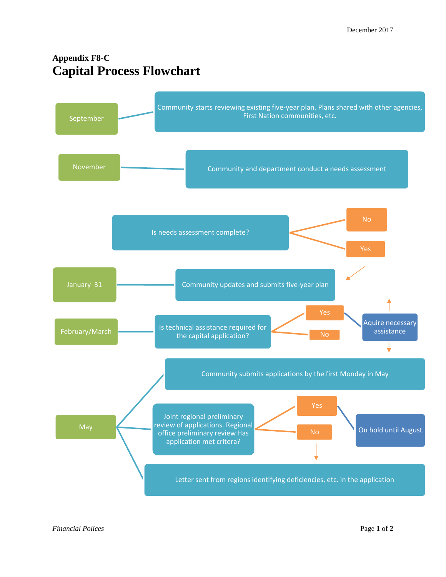## **Appendix F8-C Capital Process Flowchart**



*Financial Polices* Page **1** of **2**